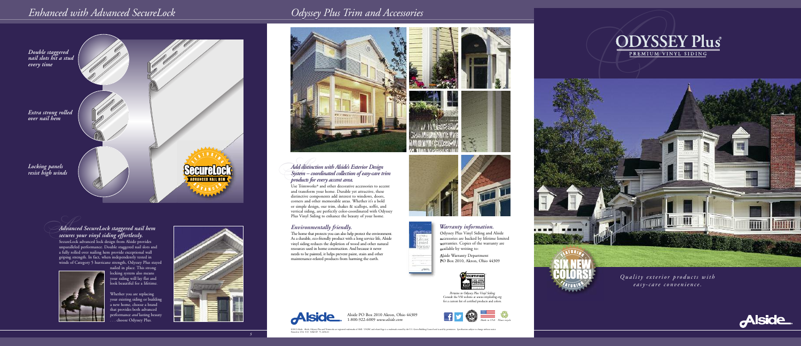

Alside PO Box 2010 Akron, Ohio 44309 1 - 8 0 0 - 9 2 2 - 6 0 0 9 *w w w. a ls ide . c o m*

## *Advanced SecureLock staggered nail hem s e c u res y o u r v iny l s iding effo r tless ly.*

SecureLock advanced lock design from Alside provides unparalleled performance. Double staggered nail slots and a fully rolled over nailing hem provide exceptional wall griping strength. In fact, when independently tested in winds of Category 5 hurricane strength, Odyssey Plus stayed



nailed in place. This strong locking system also means your siding will lay flat and look beautiful for a lifetime.

Whether you are replacing your existing siding or building a new home, choose a brand that provides both advanced performance *and* lasting beauty . choose Odyssey Plus.



# *Odyssey Plus Trim and Accessories*



Quality exterior products with *e*asy-care convenience.



## *En h a n ced w i th A dva n ced Se c u reL o ck*

*5*





## *Warranty information.*

Odyssey Plus Vinyl Siding and Alside accessories are backed by lifetime limited warranties. Copies of the warranty are available by writing to:

Alside Warranty Department PO Box 2010, Akron, Ohio 44309





*Pe rta i n s to Odyss ey Plus Vi ny l Sidi ng* Consult the VSI website at *www.vinylsiding.org* for a current list of certified products and colors.

## *System – co o rdinated collectio n ofeasy-care trim p roducts fo r every accen t area.*

Use Trimworks<sup>®</sup> and other decorative accessories to accent and transform your home. Durable yet attractive, these distinctive components add interest to windows, doors, corners and other memorable areas. Whether it's a bold or simple design, our trim, shakes & scallops, soffit, and vertical siding, are perfectly color-coordinated with Odyssey Plus Vinyl Siding to enhance the beauty of your home.

### *Environmentally friendly.*

The home that protects you can also help protect the environment. As a durable, eco-friendly product with a long service life, Alside vinyl siding reduces the depletion of wood and other natural resources used in home construction. And because it never needs to be painted, it helps prevent paint, stain and other maintenance-related products from harming the earth.